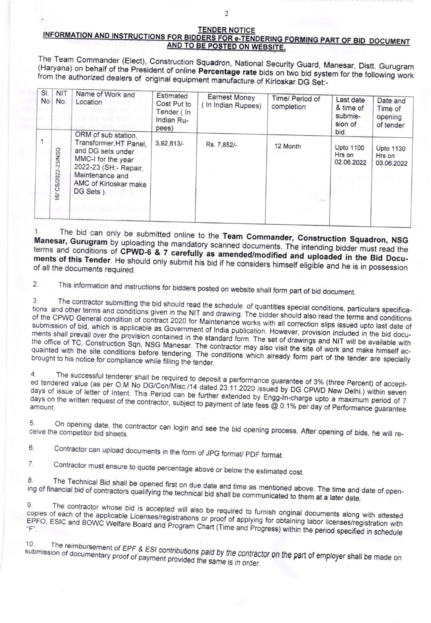## **TENDER NOTICE** INFORMATION AND INSTRUCTIONS FOR BIDDERS FOR e-TENDERING FORMING PART OF BID DOCUMENT AND TO BE POSTED ON WEBSITE.

The Team Commander (Elect), Construction Squadron, National Security Guard, Manesar, Distt. Gurugram (Haryana) on behalf of the President of online Percentage rate bids on two bid system for the following work from the authorized dealers of original equipment manufacture of Kirloskar DG Set:-

| SI.<br><b>No</b> | <b>NIT</b><br>No.  | Name of Work and<br>Location                                                                                                                                               | Estimated<br>Cost Put to<br>Tender (In<br>Indian Ru-<br>pees) | <b>Earnest Money</b><br>(In Indian Rupees) | Time/ Period of<br>completion | Last date<br>& time of<br>submis-<br>sion of<br>bid. | Date and<br>Time of<br>opening<br>of tender |
|------------------|--------------------|----------------------------------------------------------------------------------------------------------------------------------------------------------------------------|---------------------------------------------------------------|--------------------------------------------|-------------------------------|------------------------------------------------------|---------------------------------------------|
|                  | 16/ CS/2022-23/NSG | ORM of sub station,<br>Transformer, HT Panel,<br>and DG sets under<br>MMC-I for the year<br>2022-23 (SH:- Repair,<br>Maintenance and<br>AMC of Kirloskar make<br>DG Sets). | 3,92,613/                                                     | Rs. 7.852/-                                | 12 Month                      | Upto 1100<br>Hrs on<br>02.06.2022                    | <b>Upto 1130</b><br>Hrs on<br>03.06.2022    |
|                  |                    |                                                                                                                                                                            |                                                               |                                            |                               |                                                      |                                             |

The bid can only be submitted online to the Team Commander, Construction Squadron, NSG Manesar, Gurugram by uploading the mandatory scanned documents. The intending bidder must read the terms and conditions of CPWD-6 & 7 carefully as amended/modified and uploaded in the Bid Documents of this Tender. He should only submit his bid if he considers himself eligible and he is in possession of all the documents required.

 $2.$ This information and instructions for bidders posted on website shall form part of bid document.

The contractor submitting the bid should read the schedule of quantities special conditions, particulars specifica-3 tions and other terms and conditions given in the NIT and drawing. The bidder should also read the terms and conditions of the CPWD General condition of contract 2020 for Maintenance works with all correction slips issued upto last date of submission of bid, which is applicable as Government of India publication. However, provision included in the bid documents shall prevail over the provision contained in the standard form. The set of drawings and NIT will be available with the office of TC, Construction Sqn, NSG Manesar. The contractor may also visit the site of work and make himself acquainted with the site conditions before tendering. The conditions which already form part of the tender are specially brought to his notice for compliance while filling the tender.

The successful tenderer shall be required to deposit a performance guarantee of 3% (three Percent) of accepted tendered value (as per O.M No DG/Con/Misc./14 dated 23.11.2020 issued by DG CPWD New Delhi.) within seven days of issue of letter of Intent. This Period can be further extended by Engg-In-charge upto a maximum period of 7 days on the written request of the contractor, subject to payment of late fees @ 0.1% per day of Performance guarantee

5. On opening date, the contractor can login and see the bid opening process. After opening of bids, he will receive the competitor bid sheets.

Contractor can upload documents in the form of JPG format/ PDF format. 6.

7. Contractor must ensure to quote percentage above or below the estimated cost.

The Technical Bid shall be opened first on due date and time as mentioned above. The time and date of open-8. ing of financial bid of contractors qualifying the technical bid shall be communicated to them at a later date.

The contractor whose bid is accepted will also be required to furnish original documents along with attested 9. copies of each of the applicable Licenses/registrations or proof of applying for obtaining labor licenses/registration with EPFO, ESIC and BOWC Welfare Board and Program Chart (Time and Progress) within the period specified in schedule

The reimbursement of EPF & ESI contributions paid by the contractor on the part of employer shall be made on 10. submission of documentary proof of payment provided the same is in order.